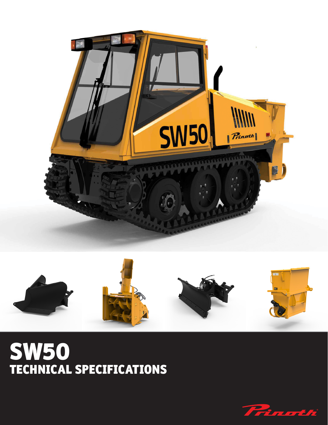



## SW50 TECHNICAL SPECIFICATIONS